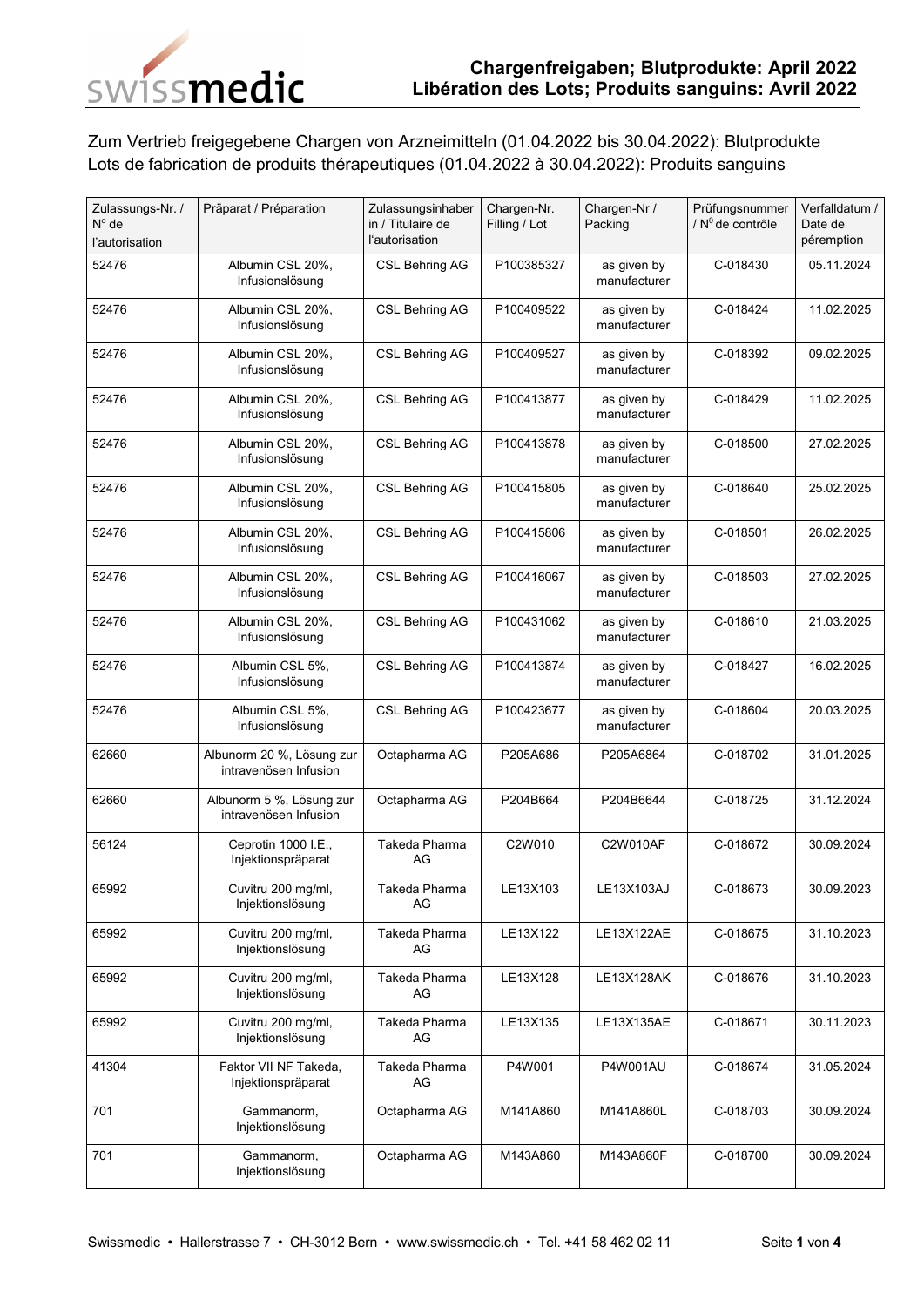

Zum Vertrieb freigegebene Chargen von Arzneimitteln (01.04.2022 bis 30.04.2022): Blutprodukte Lots de fabrication de produits thérapeutiques (01.04.2022 à 30.04.2022): Produits sanguins

| Zulassungs-Nr. /<br>$N^{\circ}$ de<br>l'autorisation | Präparat / Préparation                             | Zulassungsinhaber<br>in / Titulaire de<br>l'autorisation | Chargen-Nr.<br>Filling / Lot | Chargen-Nr /<br>Packing     | Prüfungsnummer<br>/ $N^0$ de contrôle | Verfalldatum /<br>Date de<br>péremption |
|------------------------------------------------------|----------------------------------------------------|----------------------------------------------------------|------------------------------|-----------------------------|---------------------------------------|-----------------------------------------|
| 52476                                                | Albumin CSL 20%,<br>Infusionslösung                | <b>CSL Behring AG</b>                                    | P100385327                   | as given by<br>manufacturer | C-018430                              | 05.11.2024                              |
| 52476                                                | Albumin CSL 20%,<br>Infusionslösung                | <b>CSL Behring AG</b>                                    | P100409522                   | as given by<br>manufacturer | C-018424                              | 11.02.2025                              |
| 52476                                                | Albumin CSL 20%,<br>Infusionslösung                | <b>CSL Behring AG</b>                                    | P100409527                   | as given by<br>manufacturer | C-018392                              | 09.02.2025                              |
| 52476                                                | Albumin CSL 20%,<br>Infusionslösung                | <b>CSL Behring AG</b>                                    | P100413877                   | as given by<br>manufacturer | C-018429                              | 11.02.2025                              |
| 52476                                                | Albumin CSL 20%,<br>Infusionslösung                | <b>CSL Behring AG</b>                                    | P100413878                   | as given by<br>manufacturer | C-018500                              | 27.02.2025                              |
| 52476                                                | Albumin CSL 20%,<br>Infusionslösung                | <b>CSL Behring AG</b>                                    | P100415805                   | as given by<br>manufacturer | C-018640                              | 25.02.2025                              |
| 52476                                                | Albumin CSL 20%,<br>Infusionslösung                | <b>CSL Behring AG</b>                                    | P100415806                   | as given by<br>manufacturer | C-018501                              | 26.02.2025                              |
| 52476                                                | Albumin CSL 20%,<br>Infusionslösung                | <b>CSL Behring AG</b>                                    | P100416067                   | as given by<br>manufacturer | C-018503                              | 27.02.2025                              |
| 52476                                                | Albumin CSL 20%,<br>Infusionslösung                | <b>CSL Behring AG</b>                                    | P100431062                   | as given by<br>manufacturer | C-018610                              | 21.03.2025                              |
| 52476                                                | Albumin CSL 5%,<br>Infusionslösung                 | <b>CSL Behring AG</b>                                    | P100413874                   | as given by<br>manufacturer | C-018427                              | 16.02.2025                              |
| 52476                                                | Albumin CSL 5%,<br>Infusionslösung                 | <b>CSL Behring AG</b>                                    | P100423677                   | as given by<br>manufacturer | C-018604                              | 20.03.2025                              |
| 62660                                                | Albunorm 20 %, Lösung zur<br>intravenösen Infusion | Octapharma AG                                            | P205A686                     | P205A6864                   | C-018702                              | 31.01.2025                              |
| 62660                                                | Albunorm 5 %, Lösung zur<br>intravenösen Infusion  | Octapharma AG                                            | P204B664                     | P204B6644                   | C-018725                              | 31.12.2024                              |
| 56124                                                | Ceprotin 1000 I.E.,<br>Injektionspräparat          | Takeda Pharma<br>AG                                      | C2W010                       | <b>C2W010AF</b>             | C-018672                              | 30.09.2024                              |
| 65992                                                | Cuvitru 200 mg/ml,<br>Injektionslösung             | Takeda Pharma<br>AG                                      | LE13X103                     | LE13X103AJ                  | C-018673                              | 30.09.2023                              |
| 65992                                                | Cuvitru 200 mg/ml,<br>Injektionslösung             | Takeda Pharma<br>AG                                      | LE13X122                     | LE13X122AE                  | C-018675                              | 31.10.2023                              |
| 65992                                                | Cuvitru 200 mg/ml,<br>Injektionslösung             | Takeda Pharma<br>AG                                      | LE13X128                     | LE13X128AK                  | C-018676                              | 31.10.2023                              |
| 65992                                                | Cuvitru 200 mg/ml,<br>Injektionslösung             | Takeda Pharma<br>AG                                      | LE13X135                     | LE13X135AE                  | C-018671                              | 30.11.2023                              |
| 41304                                                | Faktor VII NF Takeda,<br>Injektionspräparat        | Takeda Pharma<br>AG                                      | P4W001                       | <b>P4W001AU</b>             | C-018674                              | 31.05.2024                              |
| 701                                                  | Gammanorm,<br>Injektionslösung                     | Octapharma AG                                            | M141A860                     | M141A860L                   | C-018703                              | 30.09.2024                              |
| 701                                                  | Gammanorm,<br>Injektionslösung                     | Octapharma AG                                            | M143A860                     | M143A860F                   | C-018700                              | 30.09.2024                              |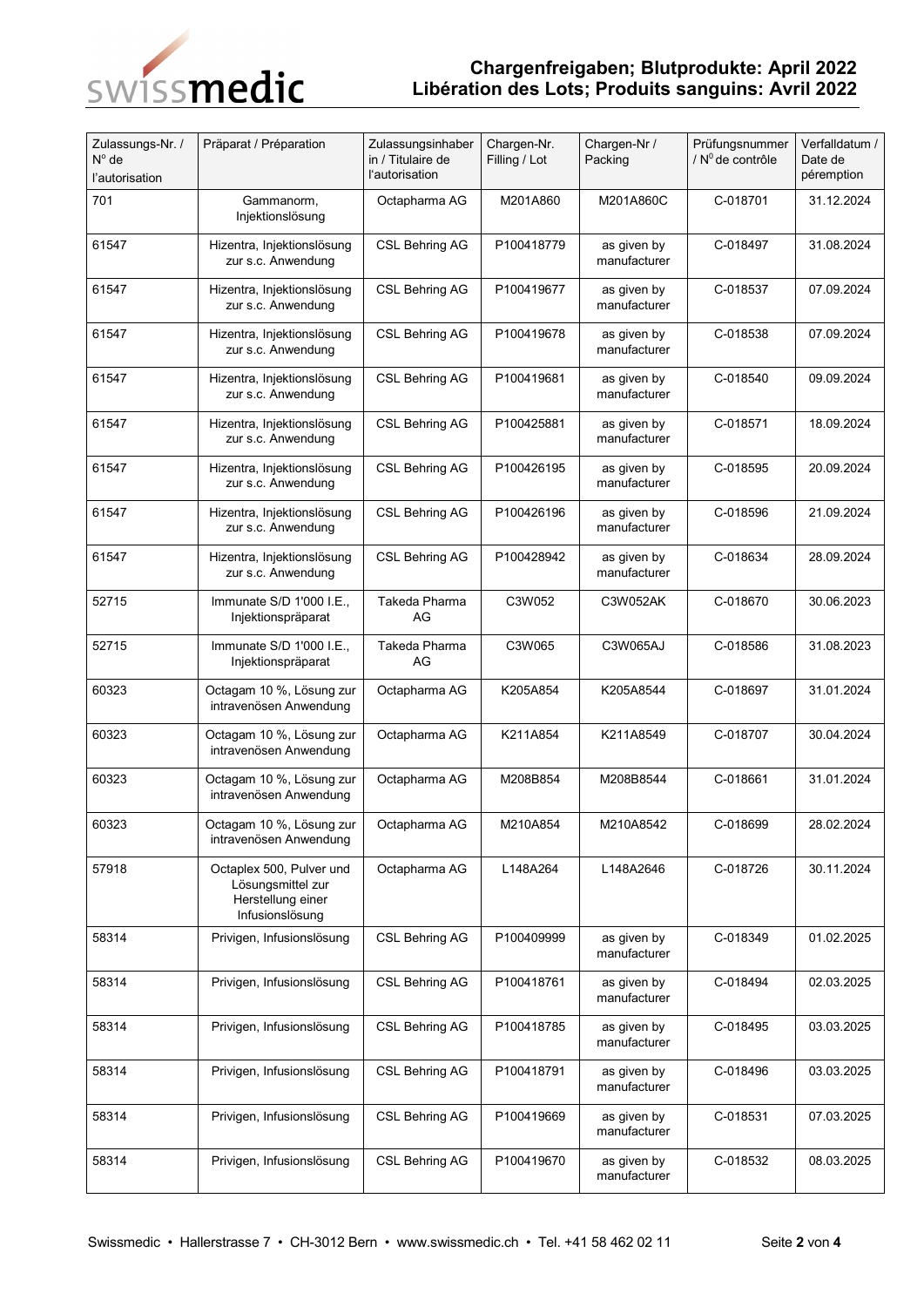

## **Chargenfreigaben; Blutprodukte: April 2022 Libération des Lots; Produits sanguins: Avril 2022**

| Zulassungs-Nr. /<br>$N^{\circ}$ de<br>l'autorisation | Präparat / Préparation                                                                | Zulassungsinhaber<br>in / Titulaire de<br>l'autorisation | Chargen-Nr.<br>Filling / Lot | Chargen-Nr /<br>Packing     | Prüfungsnummer<br>/ $N^0$ de contrôle | Verfalldatum /<br>Date de<br>péremption |
|------------------------------------------------------|---------------------------------------------------------------------------------------|----------------------------------------------------------|------------------------------|-----------------------------|---------------------------------------|-----------------------------------------|
| 701                                                  | Gammanorm,<br>Injektionslösung                                                        | Octapharma AG                                            | M201A860                     | M201A860C                   | C-018701                              | 31.12.2024                              |
| 61547                                                | Hizentra, Injektionslösung<br>zur s.c. Anwendung                                      | CSL Behring AG                                           | P100418779                   | as given by<br>manufacturer | C-018497                              | 31.08.2024                              |
| 61547                                                | Hizentra, Injektionslösung<br>zur s.c. Anwendung                                      | <b>CSL Behring AG</b>                                    | P100419677                   | as given by<br>manufacturer | C-018537                              | 07.09.2024                              |
| 61547                                                | Hizentra, Injektionslösung<br>zur s.c. Anwendung                                      | <b>CSL Behring AG</b>                                    | P100419678                   | as given by<br>manufacturer | C-018538                              | 07.09.2024                              |
| 61547                                                | Hizentra, Injektionslösung<br>zur s.c. Anwendung                                      | <b>CSL Behring AG</b>                                    | P100419681                   | as given by<br>manufacturer | C-018540                              | 09.09.2024                              |
| 61547                                                | Hizentra, Injektionslösung<br>zur s.c. Anwendung                                      | <b>CSL Behring AG</b>                                    | P100425881                   | as given by<br>manufacturer | C-018571                              | 18.09.2024                              |
| 61547                                                | Hizentra, Injektionslösung<br>zur s.c. Anwendung                                      | <b>CSL Behring AG</b>                                    | P100426195                   | as given by<br>manufacturer | C-018595                              | 20.09.2024                              |
| 61547                                                | Hizentra, Injektionslösung<br>zur s.c. Anwendung                                      | <b>CSL Behring AG</b>                                    | P100426196                   | as given by<br>manufacturer | C-018596                              | 21.09.2024                              |
| 61547                                                | Hizentra, Injektionslösung<br>zur s.c. Anwendung                                      | CSL Behring AG                                           | P100428942                   | as given by<br>manufacturer | C-018634                              | 28.09.2024                              |
| 52715                                                | Immunate S/D 1'000 I.E.,<br>Injektionspräparat                                        | Takeda Pharma<br>AG                                      | C3W052                       | C3W052AK                    | C-018670                              | 30.06.2023                              |
| 52715                                                | Immunate S/D 1'000 I.E.,<br>Injektionspräparat                                        | Takeda Pharma<br>AG                                      | C3W065                       | C3W065AJ                    | C-018586                              | 31.08.2023                              |
| 60323                                                | Octagam 10 %, Lösung zur<br>intravenösen Anwendung                                    | Octapharma AG                                            | K205A854                     | K205A8544                   | C-018697                              | 31.01.2024                              |
| 60323                                                | Octagam 10 %, Lösung zur<br>intravenösen Anwendung                                    | Octapharma AG                                            | K211A854                     | K211A8549                   | C-018707                              | 30.04.2024                              |
| 60323                                                | Octagam 10 %, Lösung zur<br>intravenösen Anwendung                                    | Octapharma AG                                            | M208B854                     | M208B8544                   | C-018661                              | 31.01.2024                              |
| 60323                                                | Octagam 10 %, Lösung zur<br>intravenösen Anwendung                                    | Octapharma AG                                            | M210A854                     | M210A8542                   | C-018699                              | 28.02.2024                              |
| 57918                                                | Octaplex 500, Pulver und<br>Lösungsmittel zur<br>Herstellung einer<br>Infusionslösung | Octapharma AG                                            | L148A264                     | L148A2646                   | C-018726                              | 30.11.2024                              |
| 58314                                                | Privigen, Infusionslösung                                                             | <b>CSL Behring AG</b>                                    | P100409999                   | as given by<br>manufacturer | C-018349                              | 01.02.2025                              |
| 58314                                                | Privigen, Infusionslösung                                                             | <b>CSL Behring AG</b>                                    | P100418761                   | as given by<br>manufacturer | C-018494                              | 02.03.2025                              |
| 58314                                                | Privigen, Infusionslösung                                                             | CSL Behring AG                                           | P100418785                   | as given by<br>manufacturer | C-018495                              | 03.03.2025                              |
| 58314                                                | Privigen, Infusionslösung                                                             | CSL Behring AG                                           | P100418791                   | as given by<br>manufacturer | C-018496                              | 03.03.2025                              |
| 58314                                                | Privigen, Infusionslösung                                                             | <b>CSL Behring AG</b>                                    | P100419669                   | as given by<br>manufacturer | C-018531                              | 07.03.2025                              |
| 58314                                                | Privigen, Infusionslösung                                                             | CSL Behring AG                                           | P100419670                   | as given by<br>manufacturer | C-018532                              | 08.03.2025                              |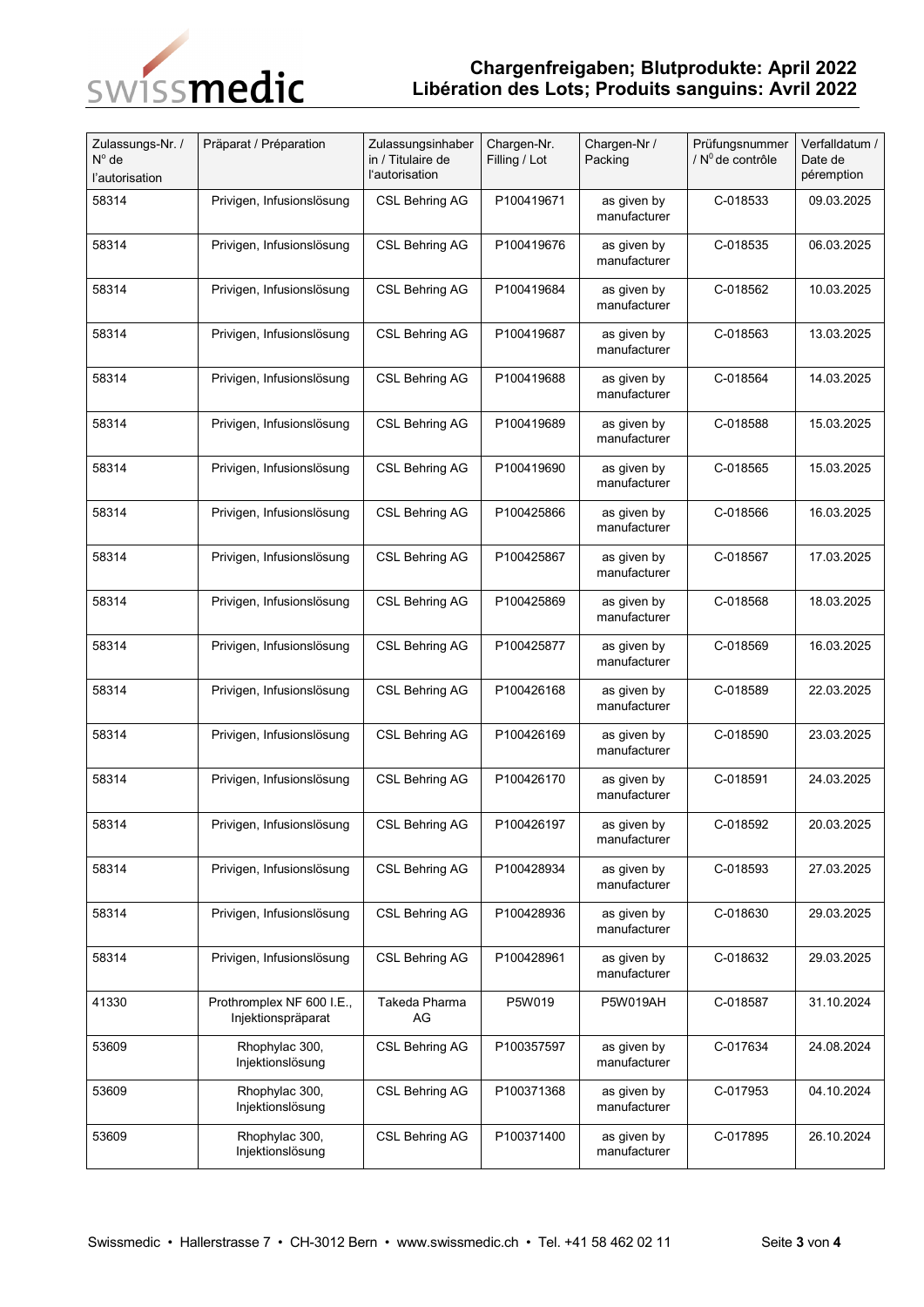

## **Chargenfreigaben; Blutprodukte: April 2022 Libération des Lots; Produits sanguins: Avril 2022**

| Zulassungs-Nr. /<br>N° de<br>l'autorisation | Präparat / Préparation                          | Zulassungsinhaber<br>in / Titulaire de<br>l'autorisation | Chargen-Nr.<br>Filling / Lot | Chargen-Nr /<br>Packing     | Prüfungsnummer<br>/ $N^0$ de contrôle | Verfalldatum /<br>Date de<br>péremption |
|---------------------------------------------|-------------------------------------------------|----------------------------------------------------------|------------------------------|-----------------------------|---------------------------------------|-----------------------------------------|
| 58314                                       | Privigen, Infusionslösung                       | <b>CSL Behring AG</b>                                    | P100419671                   | as given by<br>manufacturer | C-018533                              | 09.03.2025                              |
| 58314                                       | Privigen, Infusionslösung                       | CSL Behring AG                                           | P100419676                   | as given by<br>manufacturer | C-018535                              | 06.03.2025                              |
| 58314                                       | Privigen, Infusionslösung                       | <b>CSL Behring AG</b>                                    | P100419684                   | as given by<br>manufacturer | C-018562                              | 10.03.2025                              |
| 58314                                       | Privigen, Infusionslösung                       | <b>CSL Behring AG</b>                                    | P100419687                   | as given by<br>manufacturer | C-018563                              | 13.03.2025                              |
| 58314                                       | Privigen, Infusionslösung                       | CSL Behring AG                                           | P100419688                   | as given by<br>manufacturer | C-018564                              | 14.03.2025                              |
| 58314                                       | Privigen, Infusionslösung                       | <b>CSL Behring AG</b>                                    | P100419689                   | as given by<br>manufacturer | C-018588                              | 15.03.2025                              |
| 58314                                       | Privigen, Infusionslösung                       | CSL Behring AG                                           | P100419690                   | as given by<br>manufacturer | C-018565                              | 15.03.2025                              |
| 58314                                       | Privigen, Infusionslösung                       | <b>CSL Behring AG</b>                                    | P100425866                   | as given by<br>manufacturer | C-018566                              | 16.03.2025                              |
| 58314                                       | Privigen, Infusionslösung                       | <b>CSL Behring AG</b>                                    | P100425867                   | as given by<br>manufacturer | C-018567                              | 17.03.2025                              |
| 58314                                       | Privigen, Infusionslösung                       | CSL Behring AG                                           | P100425869                   | as given by<br>manufacturer | C-018568                              | 18.03.2025                              |
| 58314                                       | Privigen, Infusionslösung                       | CSL Behring AG                                           | P100425877                   | as given by<br>manufacturer | C-018569                              | 16.03.2025                              |
| 58314                                       | Privigen, Infusionslösung                       | <b>CSL Behring AG</b>                                    | P100426168                   | as given by<br>manufacturer | C-018589                              | 22.03.2025                              |
| 58314                                       | Privigen, Infusionslösung                       | CSL Behring AG                                           | P100426169                   | as given by<br>manufacturer | C-018590                              | 23.03.2025                              |
| 58314                                       | Privigen, Infusionslösung                       | CSL Behring AG                                           | P100426170                   | as given by<br>manufacturer | C-018591                              | 24.03.2025                              |
| 58314                                       | Privigen, Infusionslösung                       | CSL Behring AG                                           | P100426197                   | as given by<br>manufacturer | C-018592                              | 20.03.2025                              |
| 58314                                       | Privigen, Infusionslösung                       | <b>CSL Behring AG</b>                                    | P100428934                   | as given by<br>manufacturer | C-018593                              | 27.03.2025                              |
| 58314                                       | Privigen, Infusionslösung                       | <b>CSL Behring AG</b>                                    | P100428936                   | as given by<br>manufacturer | C-018630                              | 29.03.2025                              |
| 58314                                       | Privigen, Infusionslösung                       | <b>CSL Behring AG</b>                                    | P100428961                   | as given by<br>manufacturer | C-018632                              | 29.03.2025                              |
| 41330                                       | Prothromplex NF 600 I.E.,<br>Injektionspräparat | Takeda Pharma<br>AG                                      | P5W019                       | <b>P5W019AH</b>             | C-018587                              | 31.10.2024                              |
| 53609                                       | Rhophylac 300,<br>Injektionslösung              | CSL Behring AG                                           | P100357597                   | as given by<br>manufacturer | C-017634                              | 24.08.2024                              |
| 53609                                       | Rhophylac 300,<br>Injektionslösung              | CSL Behring AG                                           | P100371368                   | as given by<br>manufacturer | C-017953                              | 04.10.2024                              |
| 53609                                       | Rhophylac 300,<br>Injektionslösung              | CSL Behring AG                                           | P100371400                   | as given by<br>manufacturer | C-017895                              | 26.10.2024                              |